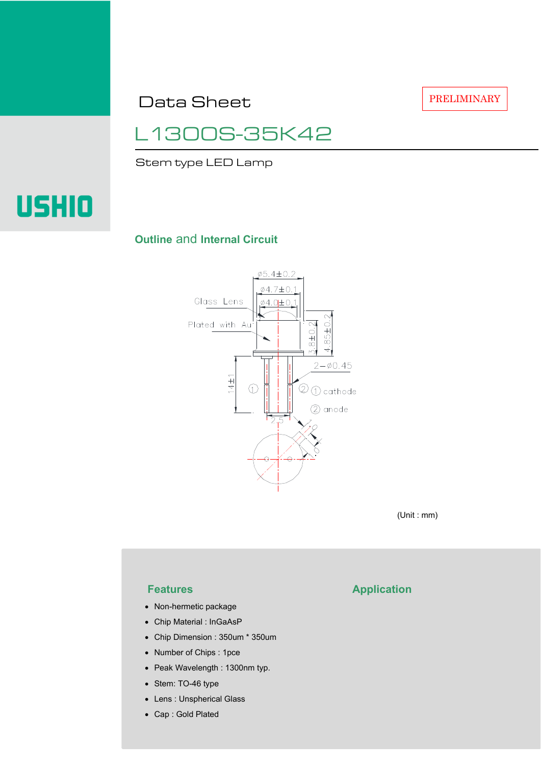Data Sheet

PRELIMINARY

# L1300S-35K42

Stem type LED Lamp



## **Outline** and **Internal Circuit**



(Unit : mm)

- Non-hermetic package
- Chip Material : InGaAsP
- Chip Dimension : 350um \* 350um
- Number of Chips : 1pce
- Peak Wavelength : 1300nm typ.
- Stem: TO-46 type
- Lens : Unspherical Glass
- Cap : Gold Plated

# **Features Application**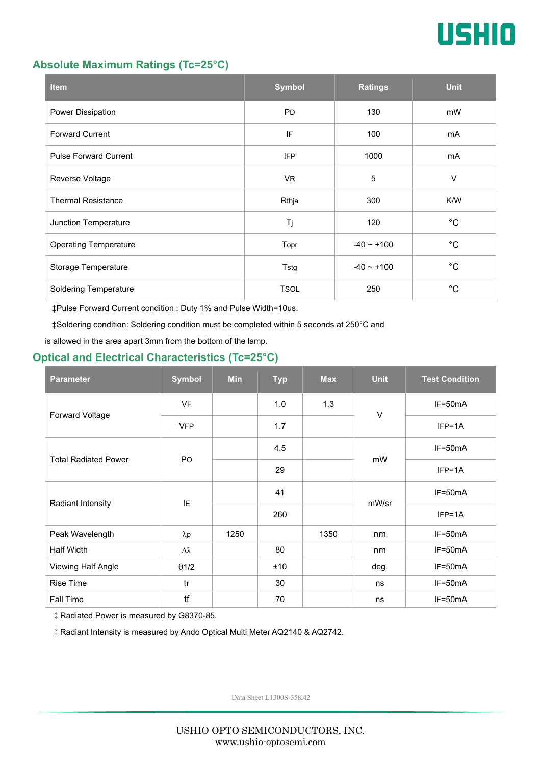

#### **Absolute Maximum Ratings (Tc=25°C)**

| <b>Item</b>                  | <b>Symbol</b> | <b>Ratings</b> | <b>Unit</b> |
|------------------------------|---------------|----------------|-------------|
| Power Dissipation            | <b>PD</b>     | 130            | mW          |
| <b>Forward Current</b>       | IF            | 100            | mA          |
| <b>Pulse Forward Current</b> | <b>IFP</b>    | 1000           | mA          |
| Reverse Voltage              | VR.           | 5              | $\vee$      |
| <b>Thermal Resistance</b>    | Rthja         | 300            | K/W         |
| Junction Temperature         | Tj            | 120            | $^{\circ}C$ |
| <b>Operating Temperature</b> | Topr          | $-40 - +100$   | $^{\circ}C$ |
| Storage Temperature          | Tstg          | $-40 - +100$   | $^{\circ}C$ |
| <b>Soldering Temperature</b> | <b>TSOL</b>   | 250            | $^{\circ}C$ |

‡Pulse Forward Current condition : Duty 1% and Pulse Width=10us.

‡Soldering condition: Soldering condition must be completed within 5 seconds at 250°C and

is allowed in the area apart 3mm from the bottom of the lamp.

## **Optical and Electrical Characteristics (Tc=25°C)**

| <b>Parameter</b>            | <b>Symbol</b>  | <b>Min</b> | <b>Typ</b> | <b>Max</b> | <b>Unit</b> | <b>Test Condition</b> |
|-----------------------------|----------------|------------|------------|------------|-------------|-----------------------|
| Forward Voltage             | <b>VF</b>      |            | 1.0        | 1.3        | $\vee$      | IF=50mA               |
|                             | <b>VFP</b>     |            | 1.7        |            |             | $IFP=1A$              |
| <b>Total Radiated Power</b> | P <sub>O</sub> |            | 4.5        |            | mW          | $IF=50mA$             |
|                             |                |            | 29         |            |             | $IFP=1A$              |
| Radiant Intensity           | IE             |            | 41         |            | mW/sr       | $IF=50mA$             |
|                             |                |            | 260        |            |             | $IFP=1A$              |
| Peak Wavelength             | $\lambda p$    | 1250       |            | 1350       | nm          | $IF=50mA$             |
| Half Width                  | Δλ             |            | 80         |            | nm          | $IF=50mA$             |
| Viewing Half Angle          | $\theta$ 1/2   |            | ±10        |            | deg.        | $IF=50mA$             |
| <b>Rise Time</b>            | tr             |            | 30         |            | ns          | $IF=50mA$             |
| <b>Fall Time</b>            | tf             |            | 70         |            | ns          | $IF=50mA$             |

‡Radiated Power is measured by G8370-85.

‡Radiant Intensity is measured by Ando Optical Multi Meter AQ2140 & AQ2742.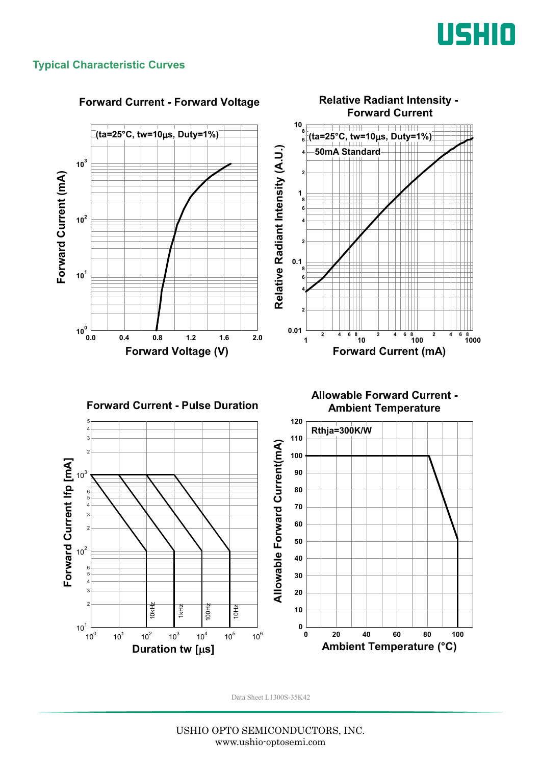

#### **Typical Characteristic Curves**



#### **Forward Current - Forward Voltage**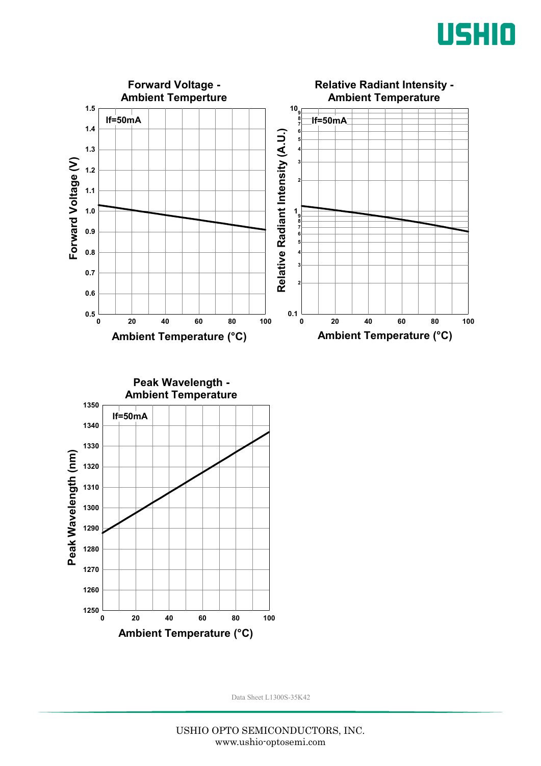



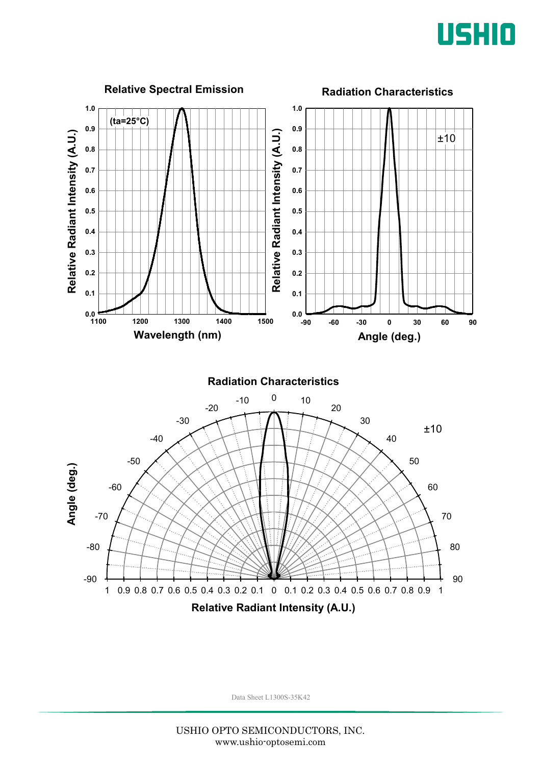